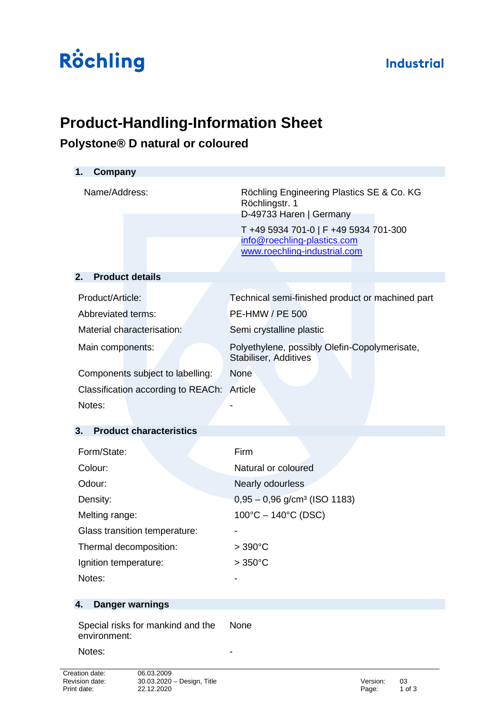### **Industrial**

# Röchling

# **Product-Handling-Information Sheet**

## **Polystone® D natural or coloured**

| Company<br>1.                                     |                                                                                                      |  |  |  |  |
|---------------------------------------------------|------------------------------------------------------------------------------------------------------|--|--|--|--|
| Name/Address:                                     | Röchling Engineering Plastics SE & Co. KG<br>Röchlingstr. 1<br>D-49733 Haren   Germany               |  |  |  |  |
|                                                   | T +49 5934 701-0   F +49 5934 701-300<br>info@roechling-plastics.com<br>www.roechling-industrial.com |  |  |  |  |
| <b>Product details</b><br>2.                      |                                                                                                      |  |  |  |  |
| Product/Article:<br>Abbreviated terms:            | Technical semi-finished product or machined part<br><b>PE-HMW / PE 500</b>                           |  |  |  |  |
| Material characterisation:                        | Semi crystalline plastic                                                                             |  |  |  |  |
| Main components:                                  | Polyethylene, possibly Olefin-Copolymerisate,<br>Stabiliser, Additives                               |  |  |  |  |
| Components subject to labelling:                  | <b>None</b>                                                                                          |  |  |  |  |
| Classification according to REACh:                | Article                                                                                              |  |  |  |  |
| Notes:                                            |                                                                                                      |  |  |  |  |
| 3.<br><b>Product characteristics</b>              |                                                                                                      |  |  |  |  |
| Form/State:                                       | Firm                                                                                                 |  |  |  |  |
| Colour:                                           | Natural or coloured                                                                                  |  |  |  |  |
| Odour:                                            | Nearly odourless                                                                                     |  |  |  |  |
| Density:                                          | $0,95 - 0,96$ g/cm <sup>3</sup> (ISO 1183)                                                           |  |  |  |  |
| Melting range:                                    | $100^{\circ}$ C – 140 $^{\circ}$ C (DSC)                                                             |  |  |  |  |
| Glass transition temperature:                     |                                                                                                      |  |  |  |  |
| Thermal decomposition:                            | $>390^{\circ}$ C                                                                                     |  |  |  |  |
| Ignition temperature:                             | $>350^{\circ}$ C                                                                                     |  |  |  |  |
| Notes:                                            |                                                                                                      |  |  |  |  |
| <b>Danger warnings</b><br>4.                      |                                                                                                      |  |  |  |  |
| Special risks for mankind and the<br>environment: | None                                                                                                 |  |  |  |  |

Notes: -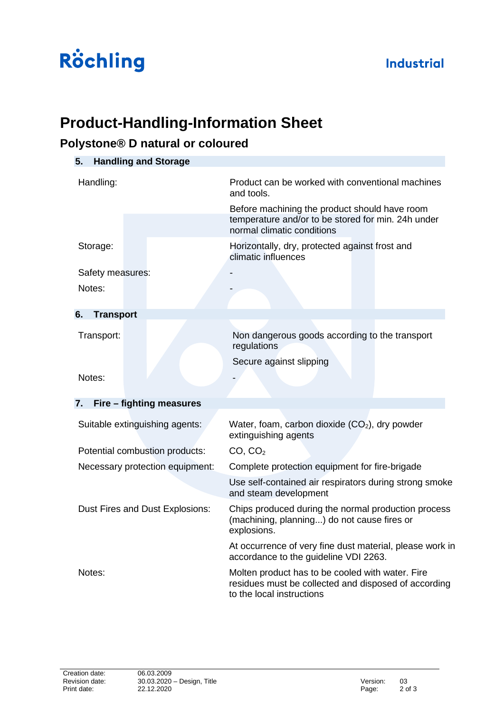## **Industrial**

# Röchling

## **Product-Handling-Information Sheet**

### **Polystone® D natural or coloured**

| 5.                              | <b>Handling and Storage</b> |                                                                                                                                       |  |  |
|---------------------------------|-----------------------------|---------------------------------------------------------------------------------------------------------------------------------------|--|--|
| Handling:                       |                             | Product can be worked with conventional machines<br>and tools.                                                                        |  |  |
|                                 |                             | Before machining the product should have room<br>temperature and/or to be stored for min. 24h under<br>normal climatic conditions     |  |  |
| Storage:                        |                             | Horizontally, dry, protected against frost and<br>climatic influences                                                                 |  |  |
| Safety measures:                |                             |                                                                                                                                       |  |  |
| Notes:                          |                             |                                                                                                                                       |  |  |
| 6.<br><b>Transport</b>          |                             |                                                                                                                                       |  |  |
| Transport:                      |                             | Non dangerous goods according to the transport<br>regulations                                                                         |  |  |
|                                 |                             | Secure against slipping                                                                                                               |  |  |
| Notes:                          |                             |                                                                                                                                       |  |  |
| 7.                              | Fire – fighting measures    |                                                                                                                                       |  |  |
| Suitable extinguishing agents:  |                             | Water, foam, carbon dioxide (CO <sub>2</sub> ), dry powder<br>extinguishing agents                                                    |  |  |
| Potential combustion products:  |                             | CO, CO <sub>2</sub>                                                                                                                   |  |  |
| Necessary protection equipment: |                             | Complete protection equipment for fire-brigade                                                                                        |  |  |
|                                 |                             | Use self-contained air respirators during strong smoke<br>and steam development                                                       |  |  |
| Dust Fires and Dust Explosions: |                             | Chips produced during the normal production process<br>(machining, planning) do not cause fires or<br>explosions.                     |  |  |
|                                 |                             | At occurrence of very fine dust material, please work in<br>accordance to the guideline VDI 2263.                                     |  |  |
| Notes:                          |                             | Molten product has to be cooled with water. Fire<br>residues must be collected and disposed of according<br>to the local instructions |  |  |